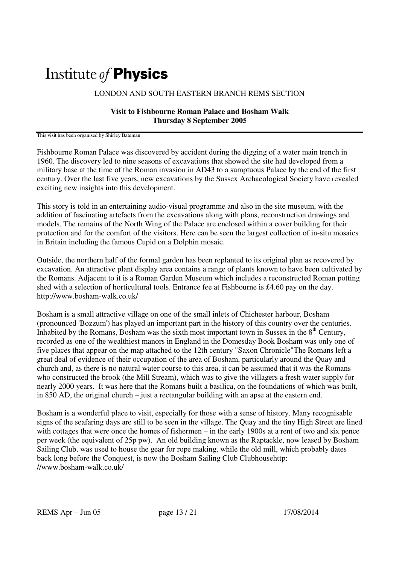## Institute of **Physics**

## LONDON AND SOUTH EASTERN BRANCH REMS SECTION

## **Visit to Fishbourne Roman Palace and Bosham Walk Thursday 8 September 2005**

This visit has been organised by Shirley Bateman

Fishbourne Roman Palace was discovered by accident during the digging of a water main trench in 1960. The discovery led to nine seasons of excavations that showed the site had developed from a military base at the time of the Roman invasion in AD43 to a sumptuous Palace by the end of the first century. Over the last five years, new excavations by the Sussex Archaeological Society have revealed exciting new insights into this development.

This story is told in an entertaining audio-visual programme and also in the site museum, with the addition of fascinating artefacts from the excavations along with plans, reconstruction drawings and models. The remains of the North Wing of the Palace are enclosed within a cover building for their protection and for the comfort of the visitors. Here can be seen the largest collection of in-situ mosaics in Britain including the famous Cupid on a Dolphin mosaic.

Outside, the northern half of the formal garden has been replanted to its original plan as recovered by excavation. An attractive plant display area contains a range of plants known to have been cultivated by the Romans. Adjacent to it is a Roman Garden Museum which includes a reconstructed Roman potting shed with a selection of horticultural tools. Entrance fee at Fishbourne is £4.60 pay on the day. http://www.bosham-walk.co.uk/

Bosham is a small attractive village on one of the small inlets of Chichester harbour, Bosham (pronounced 'Bozzum') has played an important part in the history of this country over the centuries. Inhabited by the Romans, Bosham was the sixth most important town in Sussex in the  $8<sup>th</sup>$  Century, recorded as one of the wealthiest manors in England in the Domesday Book Bosham was only one of five places that appear on the map attached to the 12th century "Saxon Chronicle"The Romans left a great deal of evidence of their occupation of the area of Bosham, particularly around the Quay and church and, as there is no natural water course to this area, it can be assumed that it was the Romans who constructed the brook (the Mill Stream), which was to give the villagers a fresh water supply for nearly 2000 years. It was here that the Romans built a basilica, on the foundations of which was built, in 850 AD, the original church – just a rectangular building with an apse at the eastern end.

Bosham is a wonderful place to visit, especially for those with a sense of history. Many recognisable signs of the seafaring days are still to be seen in the village. The Quay and the tiny High Street are lined with cottages that were once the homes of fishermen – in the early 1900s at a rent of two and six pence per week (the equivalent of 25p pw). An old building known as the Raptackle, now leased by Bosham Sailing Club, was used to house the gear for rope making, while the old mill, which probably dates back long before the Conquest, is now the Bosham Sailing Club Clubhousehttp: //www.bosham-walk.co.uk/

REMS Apr – Jun 05 page 13 / 21 17/08/2014